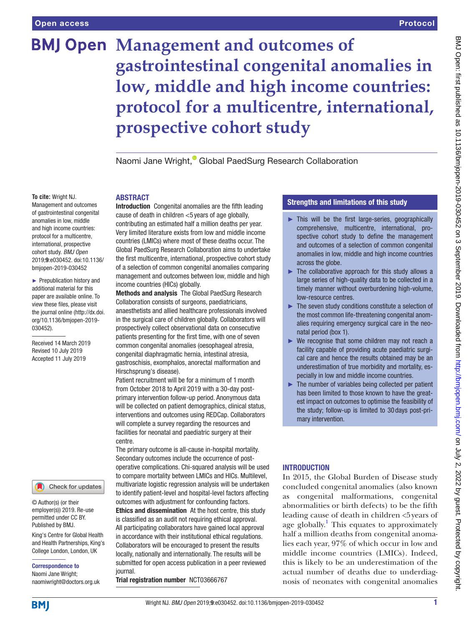**To cite:** Wright NJ. Management and outcomes of gastrointestinal congenital anomalies in low, middle and high income countries: protocol for a multicentre, international, prospective cohort study. *BMJ Open* 2019;9:e030452. doi:10.1136/ bmjopen-2019-030452 ► Prepublication history and additional material for this paper are available online. To view these files, please visit the journal online (http://dx.doi. org/10.1136/bmjopen-2019-

030452).

Received 14 March 2019 Revised 10 July 2019 Accepted 11 July 2019

# **BMJ Open Management and outcomes of gastrointestinal congenital anomalies in low, middle and high income countries: protocol for a multicentre, international, prospective cohort study**

Naomi Jane Wright,<sup>®</sup> Global PaedSurg Research Collaboration

#### **ABSTRACT**

Introduction Congenital anomalies are the fifth leading cause of death in children  $<$  5 years of age globally. contributing an estimated half a million deaths per year. Very limited literature exists from low and middle income countries (LMICs) where most of these deaths occur. The Global PaedSurg Research Collaboration aims to undertake the first multicentre, international, prospective cohort study of a selection of common congenital anomalies comparing management and outcomes between low, middle and high income countries (HICs) globally.

Methods and analysis The Global PaedSurg Research Collaboration consists of surgeons, paediatricians, anaesthetists and allied healthcare professionals involved in the surgical care of children globally. Collaborators will prospectively collect observational data on consecutive patients presenting for the first time, with one of seven common congenital anomalies (oesophageal atresia, congenital diaphragmatic hernia, intestinal atresia, gastroschisis, exomphalos, anorectal malformation and Hirschsprung's disease).

Patient recruitment will be for a minimum of 1month from October 2018 to April 2019 with a 30-day postprimary intervention follow-up period. Anonymous data will be collected on patient demographics, clinical status, interventions and outcomes using REDCap. Collaborators will complete a survey regarding the resources and facilities for neonatal and paediatric surgery at their centre.

The primary outcome is all-cause in-hospital mortality. Secondary outcomes include the occurrence of postoperative complications. Chi-squared analysis will be used to compare mortality between LMICs and HICs. Multilevel, multivariate logistic regression analysis will be undertaken to identify patient-level and hospital-level factors affecting outcomes with adjustment for confounding factors. Ethics and dissemination At the host centre, this study is classified as an audit not requiring ethical approval. All participating collaborators have gained local approval in accordance with their institutional ethical regulations. Collaborators will be encouraged to present the results locally, nationally and internationally. The results will be submitted for open access publication in a peer reviewed journal. Trial registration number <NCT03666767>

## Strengths and limitations of this study

- ► This will be the first large-series, geographically comprehensive, multicentre, international, prospective cohort study to define the management and outcomes of a selection of common congenital anomalies in low, middle and high income countries across the globe.
- ► The collaborative approach for this study allows a large series of high-quality data to be collected in a timely manner without overburdening high-volume, low-resource centres.
- ► The seven study conditions constitute a selection of the most common life-threatening congenital anomalies requiring emergency surgical care in the neonatal period (box 1).
- ► We recognise that some children may not reach a facility capable of providing acute paediatric surgical care and hence the results obtained may be an underestimation of true morbidity and mortality, especially in low and middle income countries.
- $\blacktriangleright$  The number of variables being collected per patient has been limited to those known to have the greatest impact on outcomes to optimise the feasibility of the study; follow-up is limited to 30 days post-primary intervention.

#### **INTRODUCTION**

In 2015, the Global Burden of Disease study concluded congenital anomalies (also known as congenital malformations, congenital abnormalities or birth defects) to be the fifth leading cause of death in children <5years of age globally.<sup>[1](#page-9-0)</sup> This equates to approximately half a million deaths from congenital anomalies each year, 97% of which occur in low and middle income countries (LMICs). Indeed, this is likely to be an underestimation of the actual number of deaths due to underdiagnosis of neonates with congenital anomalies

employer(s)) 2019. Re-use permitted under CC BY. Published by BMJ.

© Author(s) (or their

King's Centre for Global Health and Health Partnerships, King's College London, London, UK

Check for updates

Correspondence to Naomi Jane Wright; naomiwright@doctors.org.uk

**BMI**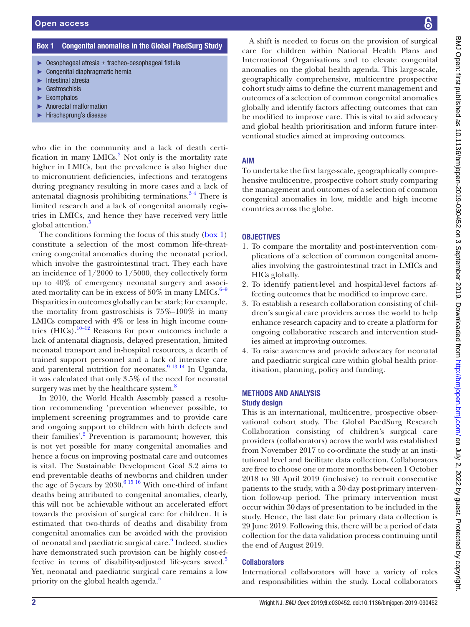## Box 1 Congenital anomalies in the Global PaedSurg Study

- <span id="page-1-0"></span> $\triangleright$  Oesophageal atresia  $\pm$  tracheo-oesophageal fistula
- ► Congenital diaphragmatic hernia
- ► Intestinal atresia
- ► Gastroschisis
- ► Exomphalos
- ► Anorectal malformation
- ► Hirschsprung's disease

who die in the community and a lack of death certification in many LMICs.<sup>2</sup> Not only is the mortality rate higher in LMICs, but the prevalence is also higher due to micronutrient deficiencies, infections and teratogens during pregnancy resulting in more cases and a lack of antenatal diagnosis prohibiting terminations.<sup>34</sup> There is limited research and a lack of congenital anomaly registries in LMICs, and hence they have received very little global attention.<sup>[5](#page-9-3)</sup>

The conditions forming the focus of this study ([box](#page-1-0) 1) constitute a selection of the most common life-threatening congenital anomalies during the neonatal period, which involve the gastrointestinal tract. They each have an incidence of 1/2000 to 1/5000, they collectively form up to 40% of emergency neonatal surgery and associated mortality can be in excess of  $50\%$  in many LMICs.<sup>6–9</sup> Disparities in outcomes globally can be stark; for example, the mortality from gastroschisis is 75%–100% in many LMICs compared with  $4\%$  or less in high income countries (HICs).[10–12](#page-9-5) Reasons for poor outcomes include a lack of antenatal diagnosis, delayed presentation, limited neonatal transport and in-hospital resources, a dearth of trained support personnel and a lack of intensive care and parenteral nutrition for neonates. $9^{13}$ <sup>14</sup> In Uganda, it was calculated that only 3.5% of the need for neonatal surgery was met by the healthcare system. $\frac{8}{3}$  $\frac{8}{3}$  $\frac{8}{3}$ 

In 2010, the World Health Assembly passed a resolution recommending 'prevention whenever possible, to implement screening programmes and to provide care and ongoing support to children with birth defects and their families'.<sup>[2](#page-9-1)</sup> Prevention is paramount; however, this is not yet possible for many congenital anomalies and hence a focus on improving postnatal care and outcomes is vital. The Sustainable Development Goal 3.2 aims to end preventable deaths of newborns and children under the age of 5years by  $2030$ .<sup>[6 15 16](#page-9-4)</sup> With one-third of infant deaths being attributed to congenital anomalies, clearly, this will not be achievable without an accelerated effort towards the provision of surgical care for children. It is estimated that two-thirds of deaths and disability from congenital anomalies can be avoided with the provision of neonatal and paediatric surgical care.<sup>[6](#page-9-4)</sup> Indeed, studies have demonstrated such provision can be highly cost-ef-fective in terms of disability-adjusted life-years saved.<sup>[5](#page-9-3)</sup> Yet, neonatal and paediatric surgical care remains a low priority on the global health agenda.<sup>[5](#page-9-3)</sup>

A shift is needed to focus on the provision of surgical care for children within National Health Plans and International Organisations and to elevate congenital anomalies on the global health agenda. This large-scale, geographically comprehensive, multicentre prospective cohort study aims to define the current management and outcomes of a selection of common congenital anomalies globally and identify factors affecting outcomes that can be modified to improve care. This is vital to aid advocacy and global health prioritisation and inform future interventional studies aimed at improving outcomes.

## Aim

To undertake the first large-scale, geographically comprehensive multicentre, prospective cohort study comparing the management and outcomes of a selection of common congenital anomalies in low, middle and high income countries across the globe.

## **OBJECTIVES**

- 1. To compare the mortality and post-intervention complications of a selection of common congenital anomalies involving the gastrointestinal tract in LMICs and HICs globally.
- 2. To identify patient-level and hospital-level factors affecting outcomes that be modified to improve care.
- 3. To establish a research collaboration consisting of children's surgical care providers across the world to help enhance research capacity and to create a platform for ongoing collaborative research and intervention studies aimed at improving outcomes.
- 4. To raise awareness and provide advocacy for neonatal and paediatric surgical care within global health prioritisation, planning, policy and funding.

## Methods and analysis

## Study design

This is an international, multicentre, prospective observational cohort study. The Global PaedSurg Research Collaboration consisting of children's surgical care providers (collaborators) across the world was established from November 2017 to co-ordinate the study at an institutional level and facilitate data collection. Collaborators are free to choose one or more months between 1 October 2018 to 30 April 2019 (inclusive) to recruit consecutive patients to the study, with a 30-day post-primary intervention follow-up period. The primary intervention must occur within 30days of presentation to be included in the study. Hence, the last date for primary data collection is 29 June 2019. Following this, there will be a period of data collection for the data validation process continuing until the end of August 2019.

## **Collaborators**

International collaborators will have a variety of roles and responsibilities within the study. Local collaborators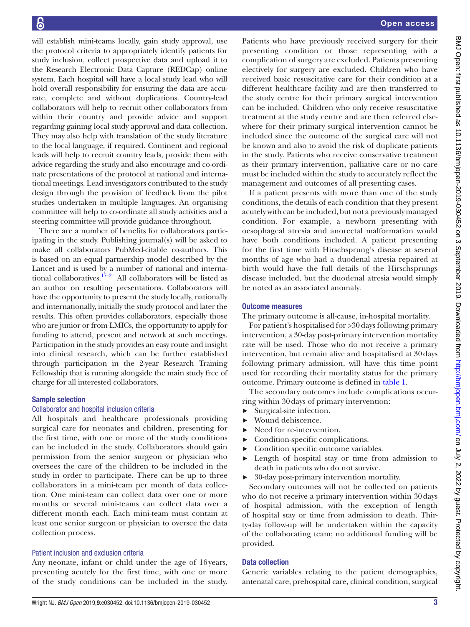will establish mini-teams locally, gain study approval, use the protocol criteria to appropriately identify patients for study inclusion, collect prospective data and upload it to the Research Electronic Data Capture (REDCap) online system. Each hospital will have a local study lead who will hold overall responsibility for ensuring the data are accurate, complete and without duplications. Country-lead collaborators will help to recruit other collaborators from within their country and provide advice and support regarding gaining local study approval and data collection. They may also help with translation of the study literature to the local language, if required. Continent and regional leads will help to recruit country leads, provide them with advice regarding the study and also encourage and co-ordinate presentations of the protocol at national and international meetings. Lead investigators contributed to the study design through the provision of feedback from the pilot studies undertaken in multiple languages. An organising committee will help to co-ordinate all study activities and a steering committee will provide guidance throughout.

There are a number of benefits for collaborators participating in the study. Publishing journal(s) will be asked to make all collaborators PubMed-citable co-authors. This is based on an equal partnership model described by the Lancet and is used by a number of national and international collaboratives.<sup>17–21</sup> All collaborators will be listed as an author on resulting presentations. Collaborators will have the opportunity to present the study locally, nationally and internationally, initially the study protocol and later the results. This often provides collaborators, especially those who are junior or from LMICs, the opportunity to apply for funding to attend, present and network at such meetings. Participation in the study provides an easy route and insight into clinical research, which can be further established through participation in the 2-year Research Training Fellowship that is running alongside the main study free of charge for all interested collaborators.

#### Sample selection

#### Collaborator and hospital inclusion criteria

All hospitals and healthcare professionals providing surgical care for neonates and children, presenting for the first time, with one or more of the study conditions can be included in the study. Collaborators should gain permission from the senior surgeon or physician who oversees the care of the children to be included in the study in order to participate. There can be up to three collaborators in a mini-team per month of data collection. One mini-team can collect data over one or more months or several mini-teams can collect data over a different month each. Each mini-team must contain at least one senior surgeon or physician to oversee the data collection process.

#### Patient inclusion and exclusion criteria

Any neonate, infant or child under the age of 16years, presenting acutely for the first time, with one or more of the study conditions can be included in the study.

Patients who have previously received surgery for their presenting condition or those representing with a complication of surgery are excluded. Patients presenting electively for surgery are excluded. Children who have received basic resuscitative care for their condition at a different healthcare facility and are then transferred to the study centre for their primary surgical intervention can be included. Children who only receive resuscitative treatment at the study centre and are then referred elsewhere for their primary surgical intervention cannot be included since the outcome of the surgical care will not be known and also to avoid the risk of duplicate patients in the study. Patients who receive conservative treatment as their primary intervention, palliative care or no care must be included within the study to accurately reflect the management and outcomes of all presenting cases.

If a patient presents with more than one of the study conditions, the details of each condition that they present acutely with can be included, but not a previously managed condition. For example, a newborn presenting with oesophageal atresia and anorectal malformation would have both conditions included. A patient presenting for the first time with Hirschsprung's disease at several months of age who had a duodenal atresia repaired at birth would have the full details of the Hirschsprungs disease included, but the duodenal atresia would simply be noted as an associated anomaly.

#### Outcome measures

The primary outcome is all-cause, in-hospital mortality.

For patient's hospitalised for >30days following primary intervention, a 30-day post-primary intervention mortality rate will be used. Those who do not receive a primary intervention, but remain alive and hospitalised at 30days following primary admission, will have this time point used for recording their mortality status for the primary outcome. Primary outcome is defined in [table](#page-3-0) 1.

The secondary outcomes include complications occurring within 30days of primary intervention:

- ► Surgical-site infection.
- ► Wound dehiscence.
- ► Need for re-intervention.
- ► Condition-specific complications.
- ► Condition specific outcome variables.
- ► Length of hospital stay or time from admission to death in patients who do not survive.
- ► 30-day post-primary intervention mortality.

Secondary outcomes will not be collected on patients who do not receive a primary intervention within 30days of hospital admission, with the exception of length of hospital stay or time from admission to death. Thirty-day follow-up will be undertaken within the capacity of the collaborating team; no additional funding will be provided.

#### Data collection

Generic variables relating to the patient demographics, antenatal care, prehospital care, clinical condition, surgical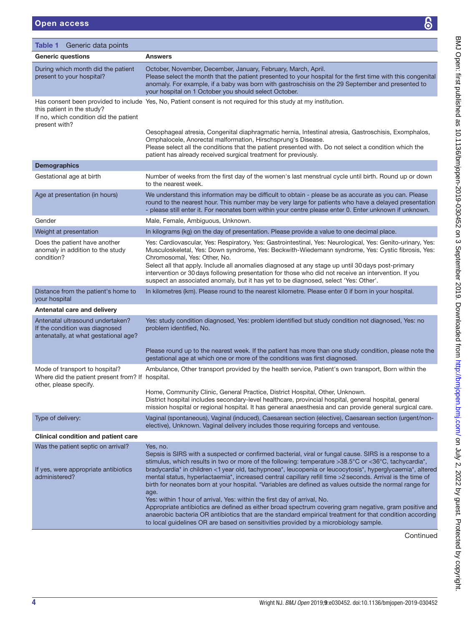<span id="page-3-0"></span>Table 1 Generic data points

| <b>Generic questions</b>                                                                                     | <b>Answers</b>                                                                                                                                                                                                                                                                                                                                                                                                                                                                                                                                      |  |  |  |  |  |
|--------------------------------------------------------------------------------------------------------------|-----------------------------------------------------------------------------------------------------------------------------------------------------------------------------------------------------------------------------------------------------------------------------------------------------------------------------------------------------------------------------------------------------------------------------------------------------------------------------------------------------------------------------------------------------|--|--|--|--|--|
| During which month did the patient<br>present to your hospital?                                              | October, November, December, January, February, March, April.<br>Please select the month that the patient presented to your hospital for the first time with this congenital<br>anomaly. For example, if a baby was born with gastroschisis on the 29 September and presented to<br>your hospital on 1 October you should select October.                                                                                                                                                                                                           |  |  |  |  |  |
| this patient in the study?<br>If no, which condition did the patient<br>present with?                        | Has consent been provided to include Yes, No, Patient consent is not required for this study at my institution.                                                                                                                                                                                                                                                                                                                                                                                                                                     |  |  |  |  |  |
|                                                                                                              | Oesophageal atresia, Congenital diaphragmatic hernia, Intestinal atresia, Gastroschisis, Exomphalos,<br>Omphalocele, Anorectal malformation, Hirschsprung's Disease.<br>Please select all the conditions that the patient presented with. Do not select a condition which the<br>patient has already received surgical treatment for previously.                                                                                                                                                                                                    |  |  |  |  |  |
| <b>Demographics</b>                                                                                          |                                                                                                                                                                                                                                                                                                                                                                                                                                                                                                                                                     |  |  |  |  |  |
| Gestational age at birth                                                                                     | Number of weeks from the first day of the women's last menstrual cycle until birth. Round up or down<br>to the nearest week.                                                                                                                                                                                                                                                                                                                                                                                                                        |  |  |  |  |  |
| Age at presentation (in hours)                                                                               | We understand this information may be difficult to obtain - please be as accurate as you can. Please<br>round to the nearest hour. This number may be very large for patients who have a delayed presentation<br>- please still enter it. For neonates born within your centre please enter 0. Enter unknown if unknown.                                                                                                                                                                                                                            |  |  |  |  |  |
| Gender                                                                                                       | Male, Female, Ambiguous, Unknown.                                                                                                                                                                                                                                                                                                                                                                                                                                                                                                                   |  |  |  |  |  |
| Weight at presentation                                                                                       | In kilograms (kg) on the day of presentation. Please provide a value to one decimal place.                                                                                                                                                                                                                                                                                                                                                                                                                                                          |  |  |  |  |  |
| Does the patient have another<br>anomaly in addition to the study<br>condition?                              | Yes: Cardiovascular, Yes: Respiratory, Yes: Gastrointestinal, Yes: Neurological, Yes: Genito-urinary, Yes:<br>Musculoskeletal, Yes: Down syndrome, Yes: Beckwith-Wiedemann syndrome, Yes: Cystic fibrosis, Yes:<br>Chromosomal, Yes: Other, No.<br>Select all that apply. Include all anomalies diagnosed at any stage up until 30 days post-primary<br>intervention or 30 days following presentation for those who did not receive an intervention. If you<br>suspect an associated anomaly, but it has yet to be diagnosed, select 'Yes: Other'. |  |  |  |  |  |
| Distance from the patient's home to<br>your hospital                                                         | In kilometres (km). Please round to the nearest kilometre. Please enter 0 if born in your hospital.                                                                                                                                                                                                                                                                                                                                                                                                                                                 |  |  |  |  |  |
| Antenatal care and delivery                                                                                  |                                                                                                                                                                                                                                                                                                                                                                                                                                                                                                                                                     |  |  |  |  |  |
| Antenatal ultrasound undertaken?<br>If the condition was diagnosed<br>antenatally, at what gestational age?  | Yes: study condition diagnosed, Yes: problem identified but study condition not diagnosed, Yes: no<br>problem identified, No.                                                                                                                                                                                                                                                                                                                                                                                                                       |  |  |  |  |  |
|                                                                                                              | Please round up to the nearest week. If the patient has more than one study condition, please note the<br>gestational age at which one or more of the conditions was first diagnosed.                                                                                                                                                                                                                                                                                                                                                               |  |  |  |  |  |
| Mode of transport to hospital?<br>Where did the patient present from? If hospital.<br>other, please specify. | Ambulance, Other transport provided by the health service, Patient's own transport, Born within the                                                                                                                                                                                                                                                                                                                                                                                                                                                 |  |  |  |  |  |
|                                                                                                              | Home, Community Clinic, General Practice, District Hospital, Other, Unknown.<br>District hospital includes secondary-level healthcare, provincial hospital, general hospital, general<br>mission hospital or regional hospital. It has general anaesthesia and can provide general surgical care.                                                                                                                                                                                                                                                   |  |  |  |  |  |
| Type of delivery:                                                                                            | Vaginal (spontaneous), Vaginal (induced), Caesarean section (elective), Caesarean section (urgent/non-<br>elective), Unknown. Vaginal delivery includes those requiring forceps and ventouse.                                                                                                                                                                                                                                                                                                                                                       |  |  |  |  |  |
| Clinical condition and patient care                                                                          |                                                                                                                                                                                                                                                                                                                                                                                                                                                                                                                                                     |  |  |  |  |  |
| Was the patient septic on arrival?                                                                           | Yes, no.<br>Sepsis is SIRS with a suspected or confirmed bacterial, viral or fungal cause. SIRS is a response to a<br>stimulus, which results in two or more of the following: temperature >38.5°C or <36°C, tachycardia*,                                                                                                                                                                                                                                                                                                                          |  |  |  |  |  |
| If yes, were appropriate antibiotics<br>administered?                                                        | bradycardia* in children <1 year old, tachypnoea*, leucopenia or leucocytosis*, hyperglycaemia*, altered<br>mental status, hyperlactaemia*, increased central capillary refill time >2 seconds. Arrival is the time of<br>birth for neonates born at your hospital. *Variables are defined as values outside the normal range for<br>age.<br>Yes: within 1 hour of arrival, Yes: within the first day of arrival, No.<br>Appropriate antibiotics are defined as either broad spectrum covering gram negative, gram positive and                     |  |  |  |  |  |
|                                                                                                              | anaerobic bacteria OR antibiotics that are the standard empirical treatment for that condition according<br>to local guidelines OR are based on sensitivities provided by a microbiology sample.                                                                                                                                                                                                                                                                                                                                                    |  |  |  |  |  |

Continued

BMJ Open: first published as 10.1136/bmjopen-2019-030452 on 3 September 2019. Downloaded from http://bmjopen.bmj.com/ on July 2, 2022 by guest. Protected by copyright. BMJ Open: first published as 10.1136/bmjopen-2019-03019-2019. Downloaded from <http://bmjopen.bmj.com/> on July 2, 2022 by guest. Protected by copyright.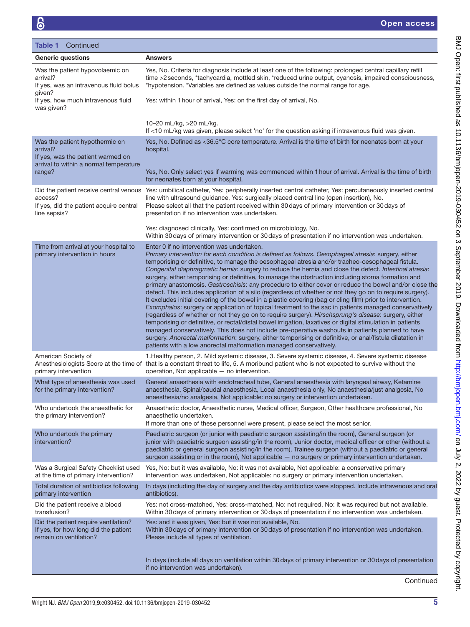| <b>Table 1</b> Continued                                                                                                              |                                                                                                                                                                                                                                                                                                                                                                                                                                                                                                                                                                                                                                                                                                                                                                                                                                                                                                                                                                                                                                                                                                                                                                                                                                                                                                                                                                                                                                    |
|---------------------------------------------------------------------------------------------------------------------------------------|------------------------------------------------------------------------------------------------------------------------------------------------------------------------------------------------------------------------------------------------------------------------------------------------------------------------------------------------------------------------------------------------------------------------------------------------------------------------------------------------------------------------------------------------------------------------------------------------------------------------------------------------------------------------------------------------------------------------------------------------------------------------------------------------------------------------------------------------------------------------------------------------------------------------------------------------------------------------------------------------------------------------------------------------------------------------------------------------------------------------------------------------------------------------------------------------------------------------------------------------------------------------------------------------------------------------------------------------------------------------------------------------------------------------------------|
| <b>Generic questions</b>                                                                                                              | <b>Answers</b>                                                                                                                                                                                                                                                                                                                                                                                                                                                                                                                                                                                                                                                                                                                                                                                                                                                                                                                                                                                                                                                                                                                                                                                                                                                                                                                                                                                                                     |
| Was the patient hypovolaemic on<br>arrival?<br>If yes, was an intravenous fluid bolus<br>given?<br>If yes, how much intravenous fluid | Yes, No. Criteria for diagnosis include at least one of the following: prolonged central capillary refill<br>time >2 seconds, *tachycardia, mottled skin, *reduced urine output, cyanosis, impaired consciousness,<br>*hypotension. *Variables are defined as values outside the normal range for age.<br>Yes: within 1 hour of arrival, Yes: on the first day of arrival, No.                                                                                                                                                                                                                                                                                                                                                                                                                                                                                                                                                                                                                                                                                                                                                                                                                                                                                                                                                                                                                                                     |
| was given?                                                                                                                            |                                                                                                                                                                                                                                                                                                                                                                                                                                                                                                                                                                                                                                                                                                                                                                                                                                                                                                                                                                                                                                                                                                                                                                                                                                                                                                                                                                                                                                    |
|                                                                                                                                       | 10-20 mL/kg, >20 mL/kg.<br>If <10 mL/kg was given, please select 'no' for the question asking if intravenous fluid was given.                                                                                                                                                                                                                                                                                                                                                                                                                                                                                                                                                                                                                                                                                                                                                                                                                                                                                                                                                                                                                                                                                                                                                                                                                                                                                                      |
| Was the patient hypothermic on<br>arrival?<br>If yes, was the patient warmed on<br>arrival to within a normal temperature<br>range?   | Yes, No. Defined as <36.5°C core temperature. Arrival is the time of birth for neonates born at your<br>hospital.<br>Yes, No. Only select yes if warming was commenced within 1 hour of arrival. Arrival is the time of birth<br>for neonates born at your hospital.                                                                                                                                                                                                                                                                                                                                                                                                                                                                                                                                                                                                                                                                                                                                                                                                                                                                                                                                                                                                                                                                                                                                                               |
| Did the patient receive central venous<br>access?<br>If yes, did the patient acquire central<br>line sepsis?                          | Yes: umbilical catheter, Yes: peripherally inserted central catheter, Yes: percutaneously inserted central<br>line with ultrasound guidance, Yes: surgically placed central line (open insertion), No.<br>Please select all that the patient received within 30 days of primary intervention or 30 days of<br>presentation if no intervention was undertaken.<br>Yes: diagnosed clinically, Yes: confirmed on microbiology, No.                                                                                                                                                                                                                                                                                                                                                                                                                                                                                                                                                                                                                                                                                                                                                                                                                                                                                                                                                                                                    |
|                                                                                                                                       | Within 30 days of primary intervention or 30 days of presentation if no intervention was undertaken.                                                                                                                                                                                                                                                                                                                                                                                                                                                                                                                                                                                                                                                                                                                                                                                                                                                                                                                                                                                                                                                                                                                                                                                                                                                                                                                               |
| Time from arrival at your hospital to<br>primary intervention in hours                                                                | Enter 0 if no intervention was undertaken.<br>Primary intervention for each condition is defined as follows. Oesophageal atresia: surgery, either<br>temporising or definitive, to manage the oesophageal atresia and/or tracheo-oesophageal fistula.<br>Congenital diaphragmatic hernia: surgery to reduce the hernia and close the defect. Intestinal atresia:<br>surgery, either temporising or definitive, to manage the obstruction including stoma formation and<br>primary anastomosis. Gastroschisis: any procedure to either cover or reduce the bowel and/or close the<br>defect. This includes application of a silo (regardless of whether or not they go on to require surgery).<br>It excludes initial covering of the bowel in a plastic covering (bag or cling film) prior to intervention.<br>Exomphalos: surgery or application of topical treatment to the sac in patients managed conservatively<br>(regardless of whether or not they go on to require surgery). Hirschsprung's disease: surgery, either<br>temporising or definitive, or rectal/distal bowel irrigation, laxatives or digital stimulation in patients<br>managed conservatively. This does not include pre-operative washouts in patients planned to have<br>surgery. Anorectal malformation: surgery, either temporising or definitive, or anal/fistula dilatation in<br>patients with a low anorectal malformation managed conservatively. |
| American Society of<br>primary intervention                                                                                           | 1. Healthy person, 2. Mild systemic disease, 3. Severe systemic disease, 4. Severe systemic disease<br>Anesthesiologists Score at the time of that is a constant threat to life, 5. A moribund patient who is not expected to survive without the<br>operation, Not applicable - no intervention.                                                                                                                                                                                                                                                                                                                                                                                                                                                                                                                                                                                                                                                                                                                                                                                                                                                                                                                                                                                                                                                                                                                                  |
| What type of anaesthesia was used<br>for the primary intervention?                                                                    | General anaesthesia with endotracheal tube, General anaesthesia with laryngeal airway, Ketamine<br>anaesthesia, Spinal/caudal anaesthesia, Local anaesthesia only, No anaesthesia/just analgesia, No<br>anaesthesia/no analgesia, Not applicable: no surgery or intervention undertaken.                                                                                                                                                                                                                                                                                                                                                                                                                                                                                                                                                                                                                                                                                                                                                                                                                                                                                                                                                                                                                                                                                                                                           |
| Who undertook the anaesthetic for<br>the primary intervention?                                                                        | Anaesthetic doctor, Anaesthetic nurse, Medical officer, Surgeon, Other healthcare professional, No<br>anaesthetic undertaken.<br>If more than one of these personnel were present, please select the most senior.                                                                                                                                                                                                                                                                                                                                                                                                                                                                                                                                                                                                                                                                                                                                                                                                                                                                                                                                                                                                                                                                                                                                                                                                                  |
| Who undertook the primary<br>intervention?                                                                                            | Paediatric surgeon (or junior with paediatric surgeon assisting/in the room), General surgeon (or<br>junior with paediatric surgeon assisting/in the room), Junior doctor, medical officer or other (without a<br>paediatric or general surgeon assisting/in the room). Trainee surgeon (without a paediatric or general<br>surgeon assisting or in the room), Not applicable - no surgery or primary intervention undertaken.                                                                                                                                                                                                                                                                                                                                                                                                                                                                                                                                                                                                                                                                                                                                                                                                                                                                                                                                                                                                     |
| Was a Surgical Safety Checklist used<br>at the time of primary intervention?                                                          | Yes, No: but it was available, No: it was not available, Not applicable: a conservative primary<br>intervention was undertaken, Not applicable: no surgery or primary intervention undertaken.                                                                                                                                                                                                                                                                                                                                                                                                                                                                                                                                                                                                                                                                                                                                                                                                                                                                                                                                                                                                                                                                                                                                                                                                                                     |
| Total duration of antibiotics following<br>primary intervention                                                                       | In days (including the day of surgery and the day antibiotics were stopped. Include intravenous and oral<br>antibiotics).                                                                                                                                                                                                                                                                                                                                                                                                                                                                                                                                                                                                                                                                                                                                                                                                                                                                                                                                                                                                                                                                                                                                                                                                                                                                                                          |
| Did the patient receive a blood<br>transfusion?                                                                                       | Yes: not cross-matched, Yes: cross-matched, No: not required, No: it was required but not available.<br>Within 30 days of primary intervention or 30 days of presentation if no intervention was undertaken.                                                                                                                                                                                                                                                                                                                                                                                                                                                                                                                                                                                                                                                                                                                                                                                                                                                                                                                                                                                                                                                                                                                                                                                                                       |
| Did the patient require ventilation?<br>If yes, for how long did the patient<br>remain on ventilation?                                | Yes: and it was given, Yes: but it was not available, No.<br>Within 30 days of primary intervention or 30 days of presentation if no intervention was undertaken.<br>Please include all types of ventilation.                                                                                                                                                                                                                                                                                                                                                                                                                                                                                                                                                                                                                                                                                                                                                                                                                                                                                                                                                                                                                                                                                                                                                                                                                      |
|                                                                                                                                       | In days (include all days on ventilation within 30 days of primary intervention or 30 days of presentation<br>if no intervention was undertaken).                                                                                                                                                                                                                                                                                                                                                                                                                                                                                                                                                                                                                                                                                                                                                                                                                                                                                                                                                                                                                                                                                                                                                                                                                                                                                  |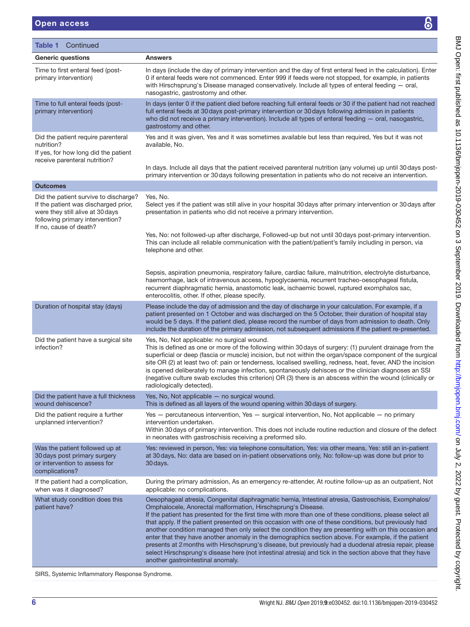| Continued<br>Table 1                                                                                                                                                           |                                                                                                                                                                                                                                                                                                                                                                                                                                                                                                                                                                                                                                                                                                                                                                                                                                                                         |  |  |  |  |  |
|--------------------------------------------------------------------------------------------------------------------------------------------------------------------------------|-------------------------------------------------------------------------------------------------------------------------------------------------------------------------------------------------------------------------------------------------------------------------------------------------------------------------------------------------------------------------------------------------------------------------------------------------------------------------------------------------------------------------------------------------------------------------------------------------------------------------------------------------------------------------------------------------------------------------------------------------------------------------------------------------------------------------------------------------------------------------|--|--|--|--|--|
| <b>Generic questions</b>                                                                                                                                                       | <b>Answers</b>                                                                                                                                                                                                                                                                                                                                                                                                                                                                                                                                                                                                                                                                                                                                                                                                                                                          |  |  |  |  |  |
| Time to first enteral feed (post-<br>primary intervention)                                                                                                                     | In days (include the day of primary intervention and the day of first enteral feed in the calculation). Enter<br>0 if enteral feeds were not commenced. Enter 999 if feeds were not stopped, for example, in patients<br>with Hirschsprung's Disease managed conservatively. Include all types of enteral feeding — oral,<br>nasogastric, gastrostomy and other.                                                                                                                                                                                                                                                                                                                                                                                                                                                                                                        |  |  |  |  |  |
| Time to full enteral feeds (post-<br>primary intervention)                                                                                                                     | In days (enter 0 if the patient died before reaching full enteral feeds or 30 if the patient had not reached<br>full enteral feeds at 30 days post-primary intervention or 30 days following admission in patients<br>who did not receive a primary intervention). Include all types of enteral feeding $-$ oral, nasogastric,<br>gastrostomy and other.                                                                                                                                                                                                                                                                                                                                                                                                                                                                                                                |  |  |  |  |  |
| Did the patient require parenteral<br>nutrition?<br>If yes, for how long did the patient<br>receive parenteral nutrition?                                                      | Yes and it was given, Yes and it was sometimes available but less than required, Yes but it was not<br>available, No.<br>In days. Include all days that the patient received parenteral nutrition (any volume) up until 30 days post-                                                                                                                                                                                                                                                                                                                                                                                                                                                                                                                                                                                                                                   |  |  |  |  |  |
|                                                                                                                                                                                | primary intervention or 30 days following presentation in patients who do not receive an intervention.                                                                                                                                                                                                                                                                                                                                                                                                                                                                                                                                                                                                                                                                                                                                                                  |  |  |  |  |  |
| <b>Outcomes</b>                                                                                                                                                                |                                                                                                                                                                                                                                                                                                                                                                                                                                                                                                                                                                                                                                                                                                                                                                                                                                                                         |  |  |  |  |  |
| Did the patient survive to discharge?<br>If the patient was discharged prior,<br>were they still alive at 30 days<br>following primary intervention?<br>If no, cause of death? | Yes, No.<br>Select yes if the patient was still alive in your hospital 30 days after primary intervention or 30 days after<br>presentation in patients who did not receive a primary intervention.                                                                                                                                                                                                                                                                                                                                                                                                                                                                                                                                                                                                                                                                      |  |  |  |  |  |
|                                                                                                                                                                                | Yes, No: not followed-up after discharge, Followed-up but not until 30 days post-primary intervention.<br>This can include all reliable communication with the patient/patient's family including in person, via<br>telephone and other.                                                                                                                                                                                                                                                                                                                                                                                                                                                                                                                                                                                                                                |  |  |  |  |  |
|                                                                                                                                                                                | Sepsis, aspiration pneumonia, respiratory failure, cardiac failure, malnutrition, electrolyte disturbance,<br>haemorrhage, lack of intravenous access, hypoglycaemia, recurrent tracheo-oesophageal fistula,<br>recurrent diaphragmatic hernia, anastomotic leak, ischaemic bowel, ruptured exomphalos sac,<br>enterocolitis, other. If other, please specify.                                                                                                                                                                                                                                                                                                                                                                                                                                                                                                          |  |  |  |  |  |
| Duration of hospital stay (days)                                                                                                                                               | Please include the day of admission and the day of discharge in your calculation. For example, if a<br>patient presented on 1 October and was discharged on the 5 October, their duration of hospital stay<br>would be 5 days. If the patient died, please record the number of days from admission to death. Only<br>include the duration of the primary admission, not subsequent admissions if the patient re-presented.                                                                                                                                                                                                                                                                                                                                                                                                                                             |  |  |  |  |  |
| Did the patient have a surgical site<br>infection?                                                                                                                             | Yes, No, Not applicable: no surgical wound.<br>This is defined as one or more of the following within 30 days of surgery: (1) purulent drainage from the<br>superficial or deep (fascia or muscle) incision, but not within the organ/space component of the surgical<br>site OR (2) at least two of: pain or tenderness, localised swelling, redness, heat, fever, AND the incision<br>is opened deliberately to manage infection, spontaneously dehisces or the clinician diagnoses an SSI<br>(negative culture swab excludes this criterion) OR (3) there is an abscess within the wound (clinically or<br>radiologically detected).                                                                                                                                                                                                                                 |  |  |  |  |  |
| Did the patient have a full thickness<br>wound dehiscence?                                                                                                                     | Yes, No, Not applicable - no surgical wound.<br>This is defined as all layers of the wound opening within 30 days of surgery.                                                                                                                                                                                                                                                                                                                                                                                                                                                                                                                                                                                                                                                                                                                                           |  |  |  |  |  |
| Did the patient require a further<br>unplanned intervention?                                                                                                                   | $Yes - percutaneous intervention, Yes - surgical intervention, No, Not applicable - no primary$<br>intervention undertaken.<br>Within 30 days of primary intervention. This does not include routine reduction and closure of the defect<br>in neonates with gastroschisis receiving a preformed silo.                                                                                                                                                                                                                                                                                                                                                                                                                                                                                                                                                                  |  |  |  |  |  |
| Was the patient followed up at<br>30 days post primary surgery<br>or intervention to assess for<br>complications?                                                              | Yes: reviewed in person, Yes: via telephone consultation, Yes: via other means, Yes: still an in-patient<br>at 30 days, No: data are based on in-patient observations only, No: follow-up was done but prior to<br>30 days.                                                                                                                                                                                                                                                                                                                                                                                                                                                                                                                                                                                                                                             |  |  |  |  |  |
| If the patient had a complication,<br>when was it diagnosed?                                                                                                                   | During the primary admission, As an emergency re-attender, At routine follow-up as an outpatient, Not<br>applicable: no complications.                                                                                                                                                                                                                                                                                                                                                                                                                                                                                                                                                                                                                                                                                                                                  |  |  |  |  |  |
| What study condition does this<br>patient have?                                                                                                                                | Oesophageal atresia, Congenital diaphragmatic hernia, Intestinal atresia, Gastroschisis, Exomphalos/<br>Omphalocele, Anorectal malformation, Hirschsprung's Disease.<br>If the patient has presented for the first time with more than one of these conditions, please select all<br>that apply. If the patient presented on this occasion with one of these conditions, but previously had<br>another condition managed then only select the condition they are presenting with on this occasion and<br>enter that they have another anomaly in the demographics section above. For example, if the patient<br>presents at 2 months with Hirschsprung's disease, but previously had a duodenal atresia repair, please<br>select Hirschsprung's disease here (not intestinal atresia) and tick in the section above that they have<br>another gastrointestinal anomaly. |  |  |  |  |  |

SIRS, Systemic Inflammatory Response Syndrome.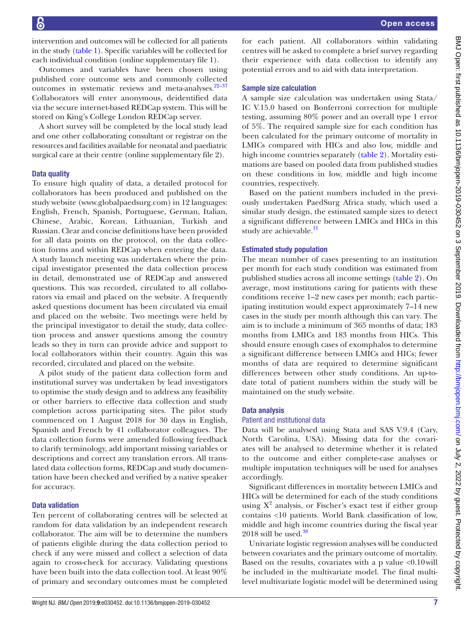intervention and outcomes will be collected for all patients in the study ([table](#page-3-0) 1). Specific variables will be collected for each individual condition [\(online supplementary file 1\)](https://dx.doi.org/10.1136/bmjopen-2019-030452).

Outcomes and variables have been chosen using published core outcome sets and commonly collected outcomes in systematic reviews and meta-analyses. $22-37$ Collaborators will enter anonymous, deidentified data via the secure internet-based REDCap system. This will be stored on King's College London REDCap server.

A short survey will be completed by the local study lead and one other collaborating consultant or registrar on the resources and facilities available for neonatal and paediatric surgical care at their centre [\(online supplementary file 2\)](https://dx.doi.org/10.1136/bmjopen-2019-030452).

## Data quality

To ensure high quality of data, a detailed protocol for collaborators has been produced and published on the study website [\(www.globalpaedsurg.com\)](www.globalpaedsurg.com) in 12 languages: English, French, Spanish, Portuguese, German, Italian, Chinese, Arabic, Korean, Lithuanian, Turkish and Russian. Clear and concise definitions have been provided for all data points on the protocol, on the data collection forms and within REDCap when entering the data. A study launch meeting was undertaken where the principal investigator presented the data collection process in detail, demonstrated use of REDCap and answered questions. This was recorded, circulated to all collaborators via email and placed on the website. A frequently asked questions document has been circulated via email and placed on the website. Two meetings were held by the principal investigator to detail the study, data collection process and answer questions among the country leads so they in turn can provide advice and support to local collaborators within their country. Again this was recorded, circulated and placed on the website.

A pilot study of the patient data collection form and institutional survey was undertaken by lead investigators to optimise the study design and to address any feasibility or other barriers to effective data collection and study completion across participating sites. The pilot study commenced on 1 August 2018 for 30 days in English, Spanish and French by 41 collaborator colleagues. The data collection forms were amended following feedback to clarify terminology, add important missing variables or descriptions and correct any translation errors. All translated data collection forms, REDCap and study documentation have been checked and verified by a native speaker for accuracy.

## Data validation

Ten percent of collaborating centres will be selected at random for data validation by an independent research collaborator. The aim will be to determine the numbers of patients eligible during the data collection period to check if any were missed and collect a selection of data again to cross-check for accuracy. Validating questions have been built into the data collection tool. At least 90% of primary and secondary outcomes must be completed

for each patient. All collaborators within validating centres will be asked to complete a brief survey regarding their experience with data collection to identify any potential errors and to aid with data interpretation.

#### Sample size calculation

A sample size calculation was undertaken using Stata/ IC V.15.0 based on Bonferroni correction for multiple testing, assuming 80% power and an overall type 1 error of 5%. The required sample size for each condition has been calculated for the primary outcome of mortality in LMICs compared with HICs and also low, middle and high income countries separately [\(table](#page-7-0) 2). Mortality estimations are based on pooled data from published studies on these conditions in low, middle and high income countries, respectively.

Based on the patient numbers included in the previously undertaken PaedSurg Africa study, which used a similar study design, the estimated sample sizes to detect a significant difference between LMICs and HICs in this study are achievable.<sup>[11](#page-9-10)</sup>

## Estimated study population

The mean number of cases presenting to an institution per month for each study condition was estimated from published studies across all income settings ([table](#page-7-0) 2). On average, most institutions caring for patients with these conditions receive 1–2 new cases per month; each participating institution would expect approximately 7–14 new cases in the study per month although this can vary. The aim is to include a minimum of 365 months of data; 183 months from LMICs and 183 months from HICs. This should ensure enough cases of exomphalos to determine a significant difference between LMICs and HICs; fewer months of data are required to determine significant differences between other study conditions. An up-todate total of patient numbers within the study will be maintained on the study website.

## Data analysis

## Patient and institutional data

Data will be analysed using Stata and SAS V.9.4 (Cary, North Carolina, USA). Missing data for the covariates will be analysed to determine whether it is related to the outcome and either complete-case analyses or multiple imputation techniques will be used for analyses accordingly.

Significant differences in mortality between LMICs and HICs will be determined for each of the study conditions using  $X^2$  analysis, or Fischer's exact test if either group contains <10 patients. World Bank classification of low, middle and high income countries during the fiscal year 2018 will be used.<sup>[38](#page-9-11)</sup>

Univariate logistic regression analyses will be conducted between covariates and the primary outcome of mortality. Based on the results, covariates with a p value  $\langle 0.10 \text{ will} \rangle$ be included in the multivariate model. The final multilevel multivariate logistic model will be determined using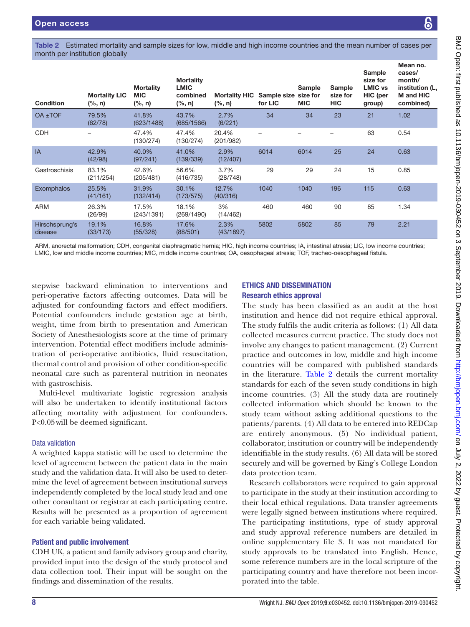<span id="page-7-0"></span>Table 2 Estimated mortality and sample sizes for low, middle and high income countries and the mean number of cases per month per institution globally

| <b>Condition</b>          | <b>Mortality LIC</b><br>(%, n) | <b>Mortality</b><br><b>MIC</b><br>(%, n) | <b>Mortality</b><br><b>LMIC</b><br>combined<br>(%, n) | <b>Mortality HIC</b><br>(%, n) | Sample size<br>for LIC | Sample<br>size for<br><b>MIC</b> | Sample<br>size for<br><b>HIC</b> | Sample<br>size for<br><b>LMIC vs</b><br><b>HIC</b> (per<br>group) | Mean no.<br>cases/<br>month/<br>institution (L,<br><b>M</b> and HIC<br>combined) |
|---------------------------|--------------------------------|------------------------------------------|-------------------------------------------------------|--------------------------------|------------------------|----------------------------------|----------------------------------|-------------------------------------------------------------------|----------------------------------------------------------------------------------|
| $OA + TOF$                | 79.5%<br>(62/78)               | 41.8%<br>(623/1488)                      | 43.7%<br>(685/1566)                                   | 2.7%<br>(6/221)                | 34                     | 34                               | 23                               | 21                                                                | 1.02                                                                             |
| <b>CDH</b>                |                                | 47.4%<br>(130/274)                       | 47.4%<br>(130/274)                                    | 20.4%<br>(201/982)             |                        |                                  |                                  | 63                                                                | 0.54                                                                             |
| IA                        | 42.9%<br>(42/98)               | 40.0%<br>(97/241)                        | 41.0%<br>(139/339)                                    | 2.9%<br>(12/407)               | 6014                   | 6014                             | 25                               | 24                                                                | 0.63                                                                             |
| Gastroschisis             | 83.1%<br>(211/254)             | 42.6%<br>(205/481)                       | 56.6%<br>(416/735)                                    | 3.7%<br>(28/748)               | 29                     | 29                               | 24                               | 15                                                                | 0.85                                                                             |
| <b>Exomphalos</b>         | 25.5%<br>(41/161)              | 31.9%<br>(132/414)                       | 30.1%<br>(173/575)                                    | 12.7%<br>(40/316)              | 1040                   | 1040                             | 196                              | 115                                                               | 0.63                                                                             |
| ARM                       | 26.3%<br>(26/99)               | 17.5%<br>(243/1391)                      | 18.1%<br>(269/1490)                                   | 3%<br>(14/462)                 | 460                    | 460                              | 90                               | 85                                                                | 1.34                                                                             |
| Hirschsprung's<br>disease | 19.1%<br>(33/173)              | 16.8%<br>(55/328)                        | 17.6%<br>(88/501)                                     | 2.3%<br>(43/1897)              | 5802                   | 5802                             | 85                               | 79                                                                | 2.21                                                                             |

ARM, anorectal malformation; CDH, congenital diaphragmatic hernia; HIC, high income countries; IA, intestinal atresia; LIC, low income countries; LMIC, low and middle income countries; MIC, middle income countries; OA, oesophageal atresia; TOF, tracheo-oesophageal fistula.

stepwise backward elimination to interventions and peri-operative factors affecting outcomes. Data will be adjusted for confounding factors and effect modifiers. Potential confounders include gestation age at birth, weight, time from birth to presentation and American Society of Anesthesiologists score at the time of primary intervention. Potential effect modifiers include administration of peri-operative antibiotics, fluid resuscitation, thermal control and provision of other condition-specific neonatal care such as parenteral nutrition in neonates with gastroschisis.

Multi-level multivariate logistic regression analysis will also be undertaken to identify institutional factors affecting mortality with adjustment for confounders. P<0.05will be deemed significant.

#### Data validation

A weighted kappa statistic will be used to determine the level of agreement between the patient data in the main study and the validation data. It will also be used to determine the level of agreement between institutional surveys independently completed by the local study lead and one other consultant or registrar at each participating centre. Results will be presented as a proportion of agreement for each variable being validated.

## Patient and public involvement

CDH UK, a patient and family advisory group and charity, provided input into the design of the study protocol and data collection tool. Their input will be sought on the findings and dissemination of the results.

## Ethics and dissemination Research ethics approval

The study has been classified as an audit at the host institution and hence did not require ethical approval. The study fulfils the audit criteria as follows: (1) All data collected measures current practice. The study does not involve any changes to patient management. (2) Current practice and outcomes in low, middle and high income countries will be compared with published standards in the literature. [Table](#page-7-0) 2 details the current mortality standards for each of the seven study conditions in high income countries. (3) All the study data are routinely collected information which should be known to the study team without asking additional questions to the patients/parents. (4) All data to be entered into REDCap are entirely anonymous. (5) No individual patient, collaborator, institution or country will be independently identifiable in the study results. (6) All data will be stored securely and will be governed by King's College London data protection team.

Research collaborators were required to gain approval to participate in the study at their institution according to their local ethical regulations. Data transfer agreements were legally signed between institutions where required. The participating institutions, type of study approval and study approval reference numbers are detailed in [online supplementary file 3.](https://dx.doi.org/10.1136/bmjopen-2019-030452) It was not mandated for study approvals to be translated into English. Hence, some reference numbers are in the local scripture of the participating country and have therefore not been incorporated into the table.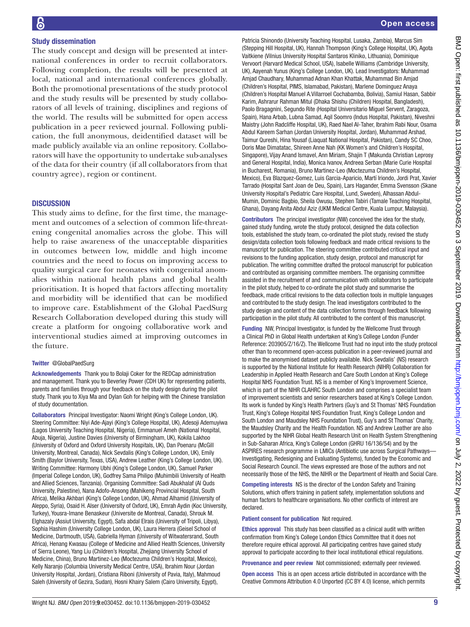#### Study dissemination

The study concept and design will be presented at international conferences in order to recruit collaborators. Following completion, the results will be presented at local, national and international conferences globally. Both the promotional presentations of the study protocol and the study results will be presented by study collaborators of all levels of training, disciplines and regions of the world. The results will be submitted for open access publication in a peer reviewed journal. Following publication, the full anonymous, deidentified dataset will be made publicly available via an online repository. Collaborators will have the opportunity to undertake sub-analyses of the data for their country (if all collaborators from that country agree), region or continent.

#### **DISCUSSION**

This study aims to define, for the first time, the management and outcomes of a selection of common life-threatening congenital anomalies across the globe. This will help to raise awareness of the unacceptable disparities in outcomes between low, middle and high income countries and the need to focus on improving access to quality surgical care for neonates with congenital anomalies within national health plans and global health prioritisation. It is hoped that factors affecting mortality and morbidity will be identified that can be modified to improve care. Establishment of the Global PaedSurg Research Collaboration developed during this study will create a platform for ongoing collaborative work and interventional studies aimed at improving outcomes in the future.

#### Twitter @GlobalPaedSurg

Acknowledgements Thank you to Bolaji Coker for the REDCap administration and management. Thank you to Beverley Power (CDH UK) for representing patients, parents and families through your feedback on the study design during the pilot study. Thank you to Xiya Ma and Dylan Goh for helping with the Chinese translation of study documentation.

Collaborators Principal Investigator: Naomi Wright (King's College London, UK). Steering Committee: Niyi Ade-Ajayi (King's College Hospital, UK), Adesoji Ademuyiwa (Lagos University Teaching Hospital, Nigeria), Emmanuel Ameh (National Hospital, Abuja, Nigeria), Justine Davies (University of Birmingham, UK), Kokila Lakhoo (University of Oxford and Oxford University Hospitals, UK), Dan Poenaru (McGill University, Montreal, Canada), Nick Sevdalis (King's College London, UK), Emily Smith (Baylor University, Texas, USA), Andrew Leather (King's College London, UK). Writing Committee: Harmony Ubhi (King's College London, UK), Samuel Parker (Imperial College London, UK), Godfrey Sama Philipo (Muhimbili University of Health and Allied Sciences, Tanzania). Organising Committee: Sadi Abukhalaf (Al Quds University, Palestine), Nana Adofo-Ansong (Mahikeng Provincial Hospital, South Africa), Melika Akhbari (King's College London, UK), Ahmad Alhamid (University of Aleppo, Syria), Osaid H. Alser (University of Oxford, UK), Emrah Aydin (Koc University, Turkey), Yousra-Imane Benaskeur (Universite de Montreal, Canada), Shrouk M. Elghazaly (Assiut University, Egypt), Safa abdal Elrais (University of Tripoli, Libya), Sophia Hashim (University College London, UK), Laura Herrera (Geisel School of Medicine, Dartmouth, USA), Gabriella Hyman (University of Witwatersrand, South Africa), Henang Kwasau (College of Medicine and Allied Health Sciences, University of Sierra Leone), Yang Liu (Children's Hospital, Zhejiang University School of Medicine, China), Bruno Martinez-Leo (Moctezuma Children's Hospital, Mexico), Kelly Naranjo (Columbia University Medical Centre, USA), Ibrahim Nour (Jordan University Hospital, Jordan), Cristiana Riboni (University of Pavia, Italy), Mahmoud Saleh (University of Gezira, Sudan), Hosni Khairy Salem (Cairo University, Egypt),

Patricia Shinondo (University Teaching Hospital, Lusaka, Zambia), Marcus Sim (Stepping Hill Hospital, UK), Hannah Thompson (King's College Hospital, UK), Agota Vaitkiene (Vilnius University Hospital Santaros Kliniko, Lithuania), Dominique Vervoort (Harvard Medical School, USA), Isabelle Williams (Cambridge University, UK), Aayenah Yunus (King's College London, UK). Lead Investigators: Muhammad Amjad Chaudhary, Muhammad Adnan Khan Khattak, Muhammad Bin Amjad (Children's Hospital, PIMS, Islamabad, Pakistan), Marlene Dominguez Anaya (Children's Hospital Manuel A.Villarroel Cochabamba, Bolivia), Samiul Hasan, Sabbir Karim, Ashrarur Rahman Mitul (Dhaka Shishu (Children) Hospital, Bangladesh), Paolo Bragagnini, Segundo Rite (Hospital Universitario Miguel Servent, Zaragoza, Spain), Hana Arbab, Lubna Samad, Aqil Soomro (Indus Hospital, Pakistan), Niveshni Maistry (John Radcliffe Hospital, UK), Raed Nael Al-Taher, Ibrahim Rabi Nour, Osama Abdul Kareem Sarhan (Jordan University Hospital, Jordan), Muhammad Arshad, Taimur Qureshi, Hina Yousaf (Liaquat National Hospital, Pakistan), Candy SC Choo, Doris Mae Dimatatac, Shireen Anne Nah (KK Women's and Children's Hospital, Singapore), Vijay Anand Ismavel, Ann Miriam, Shajin T (Makunda Christian Leprosy and General Hospital, India), Monica Ivanov, Andreea Serban (Marie Curie Hospital in Bucharest, Romania), Bruno Martinez-Leo (Moctezuma Children's Hospital, Mexico), Eva Blazquez-Gomez, Luis Garcia-Aparicio, Martí Iriondo, Jordi Prat, Xavier Tarrado (Hospital Sant Joan de Deu, Spain), Lars Hagander, Emma Svensson (Skane University Hospital's Pediatric Care Hospital, Lund, Sweden), Alhassan Abdul-Mumin, Dominic Bagbio, Sheila Owusu, Stephen Tabiri (Tamale Teaching Hospital, Ghana), Dayang Anita Abdul Aziz (UKM Medical Centre, Kuala Lumpur, Malaysia).

Contributors The principal investigator (NW) conceived the idea for the study, gained study funding, wrote the study protocol, designed the data collection tools, established the study team, co-ordinated the pilot study, revised the study design/data collection tools following feedback and made critical revisions to the manuscript for publication. The steering committee contributed critical input and revisions to the funding application, study design, protocol and manuscript for publication. The writing committee drafted the protocol manuscript for publication and contributed as organising committee members. The organising committee assisted in the recruitment of and communication with collaborators to participate in the pilot study, helped to co-ordinate the pilot study and summarise the feedback, made critical revisions to the data collection tools in multiple languages and contributed to the study design. The lead investigators contributed to the study design and content of the data collection forms through feedback following participation in the pilot study. All contributed to the content of this manuscript.

Funding NW, Principal Investigator, is funded by the Wellcome Trust through a Clinical PhD in Global Health undertaken at King's College London (Funder Reference: 203905/Z/16/Z). The Wellcome Trust had no input into the study protocol other than to recommend open-access publication in a peer-reviewed journal and to make the anonymised dataset publicly available. Nick Sevdalis' (NS) research is supported by the National Institute for Health Research (NIHR) Collaboration for Leadership in Applied Health Research and Care South London at King's College Hospital NHS Foundation Trust. NS is a member of King's Improvement Science, which is part of the NIHR CLAHRC South London and comprises a specialist team of improvement scientists and senior researchers based at King's College London. Its work is funded by King's Health Partners (Guy's and St Thomas' NHS Foundation Trust, King's College Hospital NHS Foundation Trust, King's College London and South London and Maudsley NHS Foundation Trust), Guy's and St Thomas' Charity, the Maudsley Charity and the Health Foundation. NS and Andrew Leather are also supported by the NIHR Global Health Research Unit on Health System Strengthening in Sub-Saharan Africa, King's College London (GHRU 16/136/54) and by the ASPIRES research programme in LMICs (Antibiotic use across Surgical Pathways— Investigating, Redesigning and Evaluating Systems), funded by the Economic and Social Research Council. The views expressed are those of the authors and not necessarily those of the NHS, the NIHR or the Department of Health and Social Care.

Competing interests NS is the director of the London Safety and Training Solutions, which offers training in patient safety, implementation solutions and human factors to healthcare organisations. No other conflicts of interest are declared

Patient consent for publication Not required.

Ethics approval This study has been classified as a clinical audit with written confirmation from King's College London Ethics Committee that it does not therefore require ethical approval. All participating centres have gained study approval to participate according to their local institutional ethical regulations.

Provenance and peer review Not commissioned; externally peer reviewed.

Open access This is an open access article distributed in accordance with the Creative Commons Attribution 4.0 Unported (CC BY 4.0) license, which permits